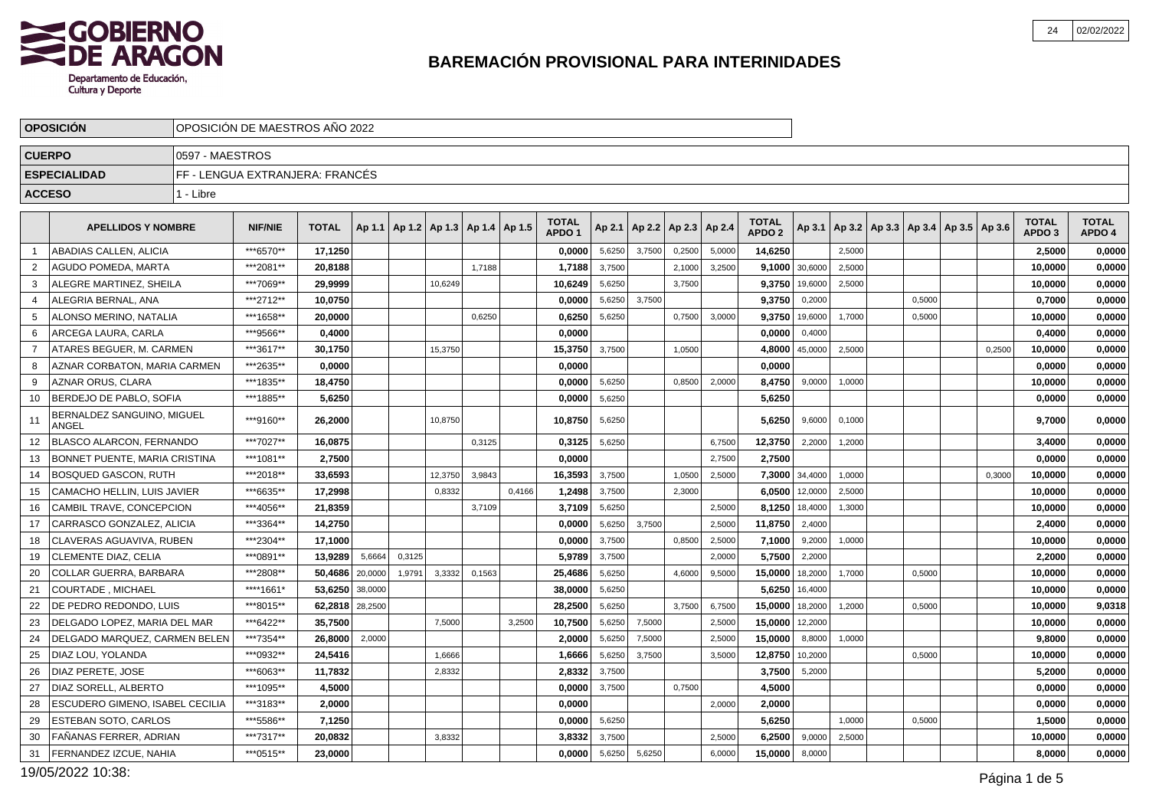

| OPOSICIÓN DE MAESTROS AÑO 2022<br><b>OPOSICIÓN</b> |                                     |                 |                                 |              |         |        |         |                                   |        |                                   |        |                          |        |        |                                   |                |        |                                                |        |                                   |                        |
|----------------------------------------------------|-------------------------------------|-----------------|---------------------------------|--------------|---------|--------|---------|-----------------------------------|--------|-----------------------------------|--------|--------------------------|--------|--------|-----------------------------------|----------------|--------|------------------------------------------------|--------|-----------------------------------|------------------------|
| <b>CUERPO</b>                                      |                                     | 0597 - MAESTROS |                                 |              |         |        |         |                                   |        |                                   |        |                          |        |        |                                   |                |        |                                                |        |                                   |                        |
|                                                    | <b>ESPECIALIDAD</b>                 |                 | FF - LENGUA EXTRANJERA: FRANCÉS |              |         |        |         |                                   |        |                                   |        |                          |        |        |                                   |                |        |                                                |        |                                   |                        |
| <b>ACCESO</b>                                      |                                     | 1 - Libre       |                                 |              |         |        |         |                                   |        |                                   |        |                          |        |        |                                   |                |        |                                                |        |                                   |                        |
|                                                    |                                     |                 |                                 |              |         |        |         |                                   |        |                                   |        |                          |        |        |                                   |                |        |                                                |        |                                   |                        |
|                                                    | <b>APELLIDOS Y NOMBRE</b>           |                 | <b>NIF/NIE</b>                  | <b>TOTAL</b> | Ap 1.1  |        |         | Ap 1.2   Ap 1.3   Ap 1.4   Ap 1.5 |        | <b>TOTAL</b><br>APDO <sub>1</sub> | Ap 2.1 | Ap 2.2   Ap 2.3   Ap 2.4 |        |        | <b>TOTAL</b><br>APDO <sub>2</sub> | Ap 3.1         |        | $ $ Ap 3.2   Ap 3.3   Ap 3.4   Ap 3.5   Ap 3.6 |        | <b>TOTAL</b><br>APDO <sub>3</sub> | <b>TOTAL</b><br>APDO 4 |
| -1                                                 | ABADIAS CALLEN. ALICIA              |                 | ***6570**                       | 17,1250      |         |        |         |                                   |        | 0,0000                            | 5,6250 | 3,7500                   | 0,2500 | 5,0000 | 14,6250                           |                | 2,5000 |                                                |        | 2,5000                            | 0,0000                 |
| $\overline{2}$                                     | AGUDO POMEDA. MARTA                 |                 | ***2081**                       | 20.8188      |         |        |         | 1.7188                            |        | 1,7188                            | 3,7500 |                          | 2,1000 | 3,2500 |                                   | 9,1000 30,6000 | 2,5000 |                                                |        | 10.0000                           | 0,0000                 |
| 3                                                  | ALEGRE MARTINEZ, SHEILA             |                 | ***7069**                       | 29,9999      |         |        | 10,6249 |                                   |        | 10,6249                           | 5,6250 |                          | 3,7500 |        | 9,3750                            | 19,6000        | 2,5000 |                                                |        | 10,0000                           | 0,0000                 |
| $\overline{4}$                                     | ALEGRIA BERNAL, ANA                 |                 | ***2712**                       | 10.0750      |         |        |         |                                   |        | 0.0000                            | 5,6250 | 3.7500                   |        |        | 9,3750                            | 0,2000         |        | 0.5000                                         |        | 0.7000                            | 0,0000                 |
| 5                                                  | ALONSO MERINO, NATALIA              |                 | ***1658**                       | 20,0000      |         |        |         | 0,6250                            |        | 0,6250                            | 5,6250 |                          | 0,7500 | 3,0000 | 9,3750                            | 19,6000        | 1,7000 | 0,5000                                         |        | 10,0000                           | 0,0000                 |
| 6                                                  | ARCEGA LAURA, CARLA                 |                 | ***9566**                       | 0,4000       |         |        |         |                                   |        | 0.0000                            |        |                          |        |        | 0,0000                            | 0,4000         |        |                                                |        | 0,4000                            | 0,0000                 |
| $\overline{7}$                                     | ATARES BEGUER, M. CARMEN            |                 | ***3617**                       | 30,1750      |         |        | 15,3750 |                                   |        | 15,3750                           | 3,7500 |                          | 1,0500 |        | 4,8000                            | 45,0000        | 2,5000 |                                                | 0,2500 | 10,0000                           | 0,0000                 |
| 8                                                  | AZNAR CORBATON. MARIA CARMEN        |                 | ***2635**                       | 0.0000       |         |        |         |                                   |        | 0.0000                            |        |                          |        |        | 0,0000                            |                |        |                                                |        | 0.0000                            | 0,0000                 |
| 9                                                  | AZNAR ORUS, CLARA                   |                 | ***1835**                       | 18,4750      |         |        |         |                                   |        | 0.0000                            | 5,6250 |                          | 0,8500 | 2,000  | 8,4750                            | 9,0000         | 1,0000 |                                                |        | 10,0000                           | 0,0000                 |
| 10                                                 | BERDEJO DE PABLO, SOFIA             |                 | ***1885**                       | 5,6250       |         |        |         |                                   |        | 0.0000                            | 5,6250 |                          |        |        | 5,6250                            |                |        |                                                |        | 0.0000                            | 0,0000                 |
| 11                                                 | BERNALDEZ SANGUINO, MIGUEL<br>ANGEL |                 | ***9160**                       | 26,2000      |         |        | 10.8750 |                                   |        | 10,8750                           | 5,6250 |                          |        |        | 5,6250                            | 9,6000         | 0.1000 |                                                |        | 9.7000                            | 0,0000                 |
| 12                                                 | <b>BLASCO ALARCON, FERNANDO</b>     |                 | ***7027**                       | 16,0875      |         |        |         | 0.3125                            |        | 0,3125                            | 5,6250 |                          |        | 6.7500 | 12,3750                           | 2,2000         | 1,2000 |                                                |        | 3,4000                            | 0,0000                 |
| 13                                                 | BONNET PUENTE, MARIA CRISTINA       |                 | ***1081**                       | 2,7500       |         |        |         |                                   |        | 0,0000                            |        |                          |        | 2,7500 | 2,7500                            |                |        |                                                |        | 0,0000                            | 0,0000                 |
| 14                                                 | <b>BOSQUED GASCON. RUTH</b>         |                 | ***2018**                       | 33,6593      |         |        | 12,3750 | 3,9843                            |        | 16.3593                           | 3,7500 |                          | 1,0500 | 2.5000 |                                   | 7,3000 34,4000 | 1,0000 |                                                | 0,3000 | 10,0000                           | 0,0000                 |
| 15                                                 | CAMACHO HELLIN, LUIS JAVIER         |                 | ***6635**                       | 17,2998      |         |        | 0,8332  |                                   | 0,4166 | 1,2498                            | 3,7500 |                          | 2,3000 |        | 6,0500                            | 12,0000        | 2,5000 |                                                |        | 10,0000                           | 0,0000                 |
| 16                                                 | CAMBIL TRAVE, CONCEPCION            |                 | ***4056**                       | 21,8359      |         |        |         | 3,7109                            |        | 3.7109                            | 5,6250 |                          |        | 2,5000 | 8,1250                            | 18,4000        | 1,3000 |                                                |        | 10,0000                           | 0,0000                 |
| 17                                                 | CARRASCO GONZALEZ, ALICIA           |                 | ***3364**                       | 14,2750      |         |        |         |                                   |        | 0,0000                            | 5,6250 | 3,7500                   |        | 2,5000 | 11,8750                           | 2,4000         |        |                                                |        | 2,4000                            | 0,0000                 |
| 18                                                 | CLAVERAS AGUAVIVA, RUBEN            |                 | ***2304**                       | 17,1000      |         |        |         |                                   |        | 0,0000                            | 3,7500 |                          | 0,8500 | 2,5000 | 7,1000                            | 9,2000         | 1,0000 |                                                |        | 10,0000                           | 0,0000                 |
| 19                                                 | <b>CLEMENTE DIAZ. CELIA</b>         |                 | ***0891**                       | 13,9289      | 5,6664  | 0,3125 |         |                                   |        | 5,9789                            | 3,7500 |                          |        | 2,0000 | 5,7500                            | 2,2000         |        |                                                |        | 2,2000                            | 0,0000                 |
| 20                                                 | <b>COLLAR GUERRA, BARBARA</b>       |                 | ***2808**                       | 50,4686      | 20,0000 | 1,9791 | 3,3332  | 0,1563                            |        | 25,4686                           | 5,6250 |                          | 4,6000 | 9,5000 | 15,0000                           | 18,2000        | 1,7000 | 0.5000                                         |        | 10,0000                           | 0,0000                 |
| 21                                                 | <b>COURTADE, MICHAEL</b>            |                 | ****1661'                       | 53,6250      | 38,0000 |        |         |                                   |        | 38,0000                           | 5,6250 |                          |        |        | 5,6250                            | 16,4000        |        |                                                |        | 10,0000                           | 0,0000                 |
| 22                                                 | DE PEDRO REDONDO. LUIS              |                 | ***8015**                       | 62,2818      | 28,2500 |        |         |                                   |        | 28.2500                           | 5,6250 |                          | 3,7500 | 6,7500 | 15,0000                           | 18,2000        | 1,2000 | 0,5000                                         |        | 10,0000                           | 9,0318                 |
| 23                                                 | DELGADO LOPEZ, MARIA DEL MAR        |                 | ***6422**                       | 35,7500      |         |        | 7,5000  |                                   | 3,2500 | 10,7500                           | 5,6250 | 7,5000                   |        | 2,500  | 15,0000                           | 12,2000        |        |                                                |        | 10,0000                           | 0,0000                 |
| 24                                                 | DELGADO MARQUEZ, CARMEN BELEN       |                 | ***7354**                       | 26,8000      | 2,0000  |        |         |                                   |        | 2.0000                            | 5,6250 | 7,5000                   |        | 2.5000 | 15,0000                           | 8,8000         | 1,0000 |                                                |        | 9.8000                            | 0,0000                 |
| 25                                                 | DIAZ LOU, YOLANDA                   |                 | ***0932**                       | 24,5416      |         |        | 1,6666  |                                   |        | 1,6666                            | 5,6250 | 3,7500                   |        | 3,5000 | 12,8750                           | 10,2000        |        | 0,5000                                         |        | 10,0000                           | 0,0000                 |
| 26                                                 | DIAZ PERETE, JOSE                   |                 | ***6063**                       | 11,7832      |         |        | 2,8332  |                                   |        | 2.8332                            | 3,7500 |                          |        |        | 3,7500                            | 5,2000         |        |                                                |        | 5.2000                            | 0,0000                 |
| 27                                                 | DIAZ SORELL, ALBERTO                |                 | ***1095**                       | 4,5000       |         |        |         |                                   |        | 0,0000                            | 3,7500 |                          | 0,7500 |        | 4,5000                            |                |        |                                                |        | 0,0000                            | 0,0000                 |
| 28                                                 | ESCUDERO GIMENO, ISABEL CECILIA     |                 | ***3183**                       | 2.0000       |         |        |         |                                   |        | 0.0000                            |        |                          |        | 2,0000 | 2,0000                            |                |        |                                                |        | 0,0000                            | 0,0000                 |
| 29                                                 | ESTEBAN SOTO, CARLOS                |                 | ***5586**                       | 7,1250       |         |        |         |                                   |        | 0,0000                            | 5,6250 |                          |        |        | 5,6250                            |                | 1,0000 | 0,5000                                         |        | 1,5000                            | 0,0000                 |
| 30                                                 | FANANAS FERRER, ADRIAN              |                 | ***7317**                       | 20,0832      |         |        | 3,8332  |                                   |        | 3.8332                            | 3,7500 |                          |        | 2.500  | 6,2500                            | 9,0000         | 2,5000 |                                                |        | 10,0000                           | 0,0000                 |
| 31                                                 | FERNANDEZ IZCUE, NAHIA              |                 | ***0515**                       | 23,0000      |         |        |         |                                   |        | 0.0000                            | 5,6250 | 5,6250                   |        | 6,0000 | 15,0000                           | 8,0000         |        |                                                |        | 8,0000                            | 0,0000                 |

19/05/2022 10:38: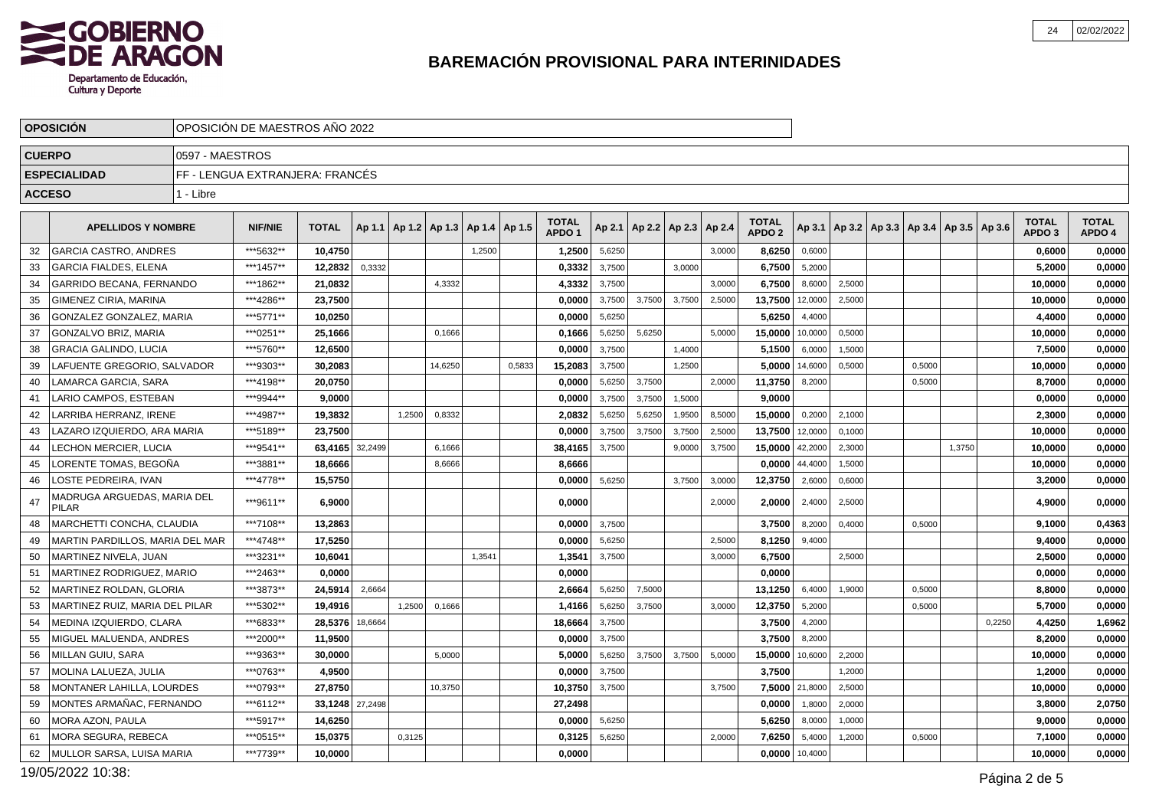

|               | <b>OPOSICION</b>                     |                 | OPOSICION DE MAESTROS ANO 2022  |              |         |        |                                            |        |        |                   |        |        |                                   |        |                   |         |                                                     |        |        |        |                   |              |
|---------------|--------------------------------------|-----------------|---------------------------------|--------------|---------|--------|--------------------------------------------|--------|--------|-------------------|--------|--------|-----------------------------------|--------|-------------------|---------|-----------------------------------------------------|--------|--------|--------|-------------------|--------------|
| <b>CUERPO</b> |                                      | 0597 - MAESTROS |                                 |              |         |        |                                            |        |        |                   |        |        |                                   |        |                   |         |                                                     |        |        |        |                   |              |
|               | <b>ESPECIALIDAD</b>                  |                 | FF - LENGUA EXTRANJERA: FRANCÉS |              |         |        |                                            |        |        |                   |        |        |                                   |        |                   |         |                                                     |        |        |        |                   |              |
| <b>ACCESO</b> |                                      | 1 - Libre       |                                 |              |         |        |                                            |        |        |                   |        |        |                                   |        |                   |         |                                                     |        |        |        |                   |              |
|               |                                      |                 |                                 |              |         |        |                                            |        |        | <b>TOTAL</b>      |        |        |                                   |        | <b>TOTAL</b>      |         |                                                     |        |        |        | <b>TOTAL</b>      | <b>TOTAL</b> |
|               | <b>APELLIDOS Y NOMBRE</b>            |                 | <b>NIF/NIE</b>                  | <b>TOTAL</b> |         |        | Ap 1.1   Ap 1.2   Ap 1.3   Ap 1.4   Ap 1.5 |        |        | APDO <sub>1</sub> |        |        | Ap 2.1   Ap 2.2   Ap 2.3   Ap 2.4 |        | APDO <sub>2</sub> |         | Ap 3.1   Ap 3.2   Ap 3.3   Ap 3.4   Ap 3.5   Ap 3.6 |        |        |        | APDO <sub>3</sub> | APDO 4       |
| 32            | <b>GARCIA CASTRO, ANDRES</b>         |                 | ***5632**                       | 10,4750      |         |        |                                            | 1,2500 |        | 1,2500            | 5,6250 |        |                                   | 3,0000 | 8,6250            | 0,6000  |                                                     |        |        |        | 0,6000            | 0,0000       |
| 33            | <b>GARCIA FIALDES, ELENA</b>         |                 | ***1457**                       | 12,2832      | 0,3332  |        |                                            |        |        | 0,3332            | 3,7500 |        | 3,0000                            |        | 6,7500            | 5,2000  |                                                     |        |        |        | 5,2000            | 0,0000       |
| 34            | GARRIDO BECANA, FERNANDO             |                 | ***1862**                       | 21,0832      |         |        | 4,3332                                     |        |        | 4,3332            | 3,7500 |        |                                   | 3,0000 | 6,7500            | 8,6000  | 2,5000                                              |        |        |        | 10,0000           | 0,0000       |
| 35            | <b>GIMENEZ CIRIA, MARINA</b>         |                 | ***4286**                       | 23,7500      |         |        |                                            |        |        | 0,0000            | 3,7500 | 3,7500 | 3,7500                            | 2,5000 | 13,7500           | 12,0000 | 2,5000                                              |        |        |        | 10,0000           | 0,0000       |
| 36            | GONZALEZ GONZALEZ, MARIA             |                 | ***5771**                       | 10,0250      |         |        |                                            |        |        | 0,0000            | 5,6250 |        |                                   |        | 5,6250            | 4,4000  |                                                     |        |        |        | 4,4000            | 0,0000       |
| 37            | GONZALVO BRIZ, MARIA                 |                 | ***0251**                       | 25,1666      |         |        | 0,1666                                     |        |        | 0,1666            | 5,6250 | 5,6250 |                                   | 5,0000 | 15,0000           | 10,0000 | 0,5000                                              |        |        |        | 10,0000           | 0,0000       |
| 38            | <b>GRACIA GALINDO, LUCIA</b>         |                 | ***5760**                       | 12.6500      |         |        |                                            |        |        | 0.0000            | 3,7500 |        | 1,4000                            |        | 5,1500            | 6,0000  | 1,5000                                              |        |        |        | 7,5000            | 0,0000       |
| 39            | LAFUENTE GREGORIO, SALVADOR          |                 | ***9303**                       | 30,2083      |         |        | 14,6250                                    |        | 0,5833 | 15,2083           | 3,7500 |        | 1,2500                            |        | 5,0000            | 14,6000 | 0,5000                                              | 0,5000 |        |        | 10,0000           | 0,0000       |
| 40            | LAMARCA GARCIA, SARA                 |                 | ***4198**                       | 20,0750      |         |        |                                            |        |        | 0,0000            | 5,6250 | 3,7500 |                                   | 2.0000 | 11,3750           | 8,2000  |                                                     | 0,5000 |        |        | 8,7000            | 0,0000       |
| 41            | LARIO CAMPOS, ESTEBAN                |                 | ***9944**                       | 9,0000       |         |        |                                            |        |        | 0,0000            | 3,7500 | 3,7500 | 1,5000                            |        | 9,0000            |         |                                                     |        |        |        | 0,0000            | 0,0000       |
| 42            | LARRIBA HERRANZ, IRENE               |                 | ***4987**                       | 19,3832      |         | 1,2500 | 0,8332                                     |        |        | 2,0832            | 5,6250 | 5,6250 | 1,9500                            | 8,5000 | 15,0000           | 0,2000  | 2,1000                                              |        |        |        | 2,3000            | 0,0000       |
| 43            | LAZARO IZQUIERDO. ARA MARIA          |                 | ***5189**                       | 23.7500      |         |        |                                            |        |        | 0.0000            | 3,7500 | 3,7500 | 3,7500                            | 2,5000 | 13,7500           | 12,0000 | 0,1000                                              |        |        |        | 10.0000           | 0,0000       |
| 44            | LECHON MERCIER, LUCIA                |                 | ***9541**                       | 63,4165      | 32,2499 |        | 6,1666                                     |        |        | 38,4165           | 3,7500 |        | 9,0000                            | 3,7500 | 15,0000           | 42,2000 | 2,3000                                              |        | 1,3750 |        | 10,0000           | 0,0000       |
| 45            | LORENTE TOMAS. BEGOÑA                |                 | ***3881**                       | 18,6666      |         |        | 8,6666                                     |        |        | 8.6666            |        |        |                                   |        | 0,0000            | 44,4000 | 1,5000                                              |        |        |        | 10,0000           | 0,0000       |
| 46            | LOSTE PEDREIRA, IVAN                 |                 | ***4778**                       | 15,5750      |         |        |                                            |        |        | 0,0000            | 5,6250 |        | 3,7500                            | 3,0000 | 12,3750           | 2,6000  | 0,6000                                              |        |        |        | 3,2000            | 0,0000       |
| 47            | MADRUGA ARGUEDAS, MARIA DEL<br>PILAR |                 | ***9611**                       | 6.9000       |         |        |                                            |        |        | 0.0000            |        |        |                                   | 2,0000 | 2,0000            | 2,4000  | 2,5000                                              |        |        |        | 4,9000            | 0,0000       |
| 48            | MARCHETTI CONCHA, CLAUDIA            |                 | ***7108**                       | 13.2863      |         |        |                                            |        |        | 0.0000            | 3,7500 |        |                                   |        | 3,7500            | 8,2000  | 0,4000                                              | 0,5000 |        |        | 9,1000            | 0,4363       |
| 49            | MARTIN PARDILLOS, MARIA DEL MAR      |                 | ***4748**                       | 17,5250      |         |        |                                            |        |        | 0,0000            | 5,6250 |        |                                   | 2,5000 | 8,1250            | 9,4000  |                                                     |        |        |        | 9,4000            | 0,0000       |
| 50            | MARTINEZ NIVELA, JUAN                |                 | ***3231**                       | 10,6041      |         |        |                                            | 1.3541 |        | 1,3541            | 3,7500 |        |                                   | 3,0000 | 6,7500            |         | 2,5000                                              |        |        |        | 2,5000            | 0,0000       |
| 51            | MARTINEZ RODRIGUEZ, MARIO            |                 | ***2463**                       | 0.0000       |         |        |                                            |        |        | 0.0000            |        |        |                                   |        | 0.0000            |         |                                                     |        |        |        | 0,0000            | 0,0000       |
| 52            | <b>MARTINEZ ROLDAN, GLORIA</b>       |                 | ***3873**                       | 24,5914      | 2,6664  |        |                                            |        |        | 2,6664            | 5,6250 | 7,5000 |                                   |        | 13,1250           | 6,4000  | 1,9000                                              | 0,5000 |        |        | 8,8000            | 0,0000       |
| 53            | MARTINEZ RUIZ, MARIA DEL PILAR       |                 | ***5302**                       | 19.4916      |         | 1.2500 | 0,1666                                     |        |        | 1,4166            | 5,6250 | 3.7500 |                                   | 3.0000 | 12,3750           | 5,2000  |                                                     | 0,5000 |        |        | 5,7000            | 0,0000       |
| 54            | MEDINA IZQUIERDO, CLARA              |                 | ***6833**                       | 28,5376      | 18,6664 |        |                                            |        |        | 18,6664           | 3,7500 |        |                                   |        | 3,7500            | 4,2000  |                                                     |        |        | 0,2250 | 4,4250            | 1,6962       |
| 55            | MIGUEL MALUENDA, ANDRES              |                 | ***2000**                       | 11,9500      |         |        |                                            |        |        | 0,0000            | 3,7500 |        |                                   |        | 3,7500            | 8,2000  |                                                     |        |        |        | 8,2000            | 0,0000       |
| 56            | <b>MILLAN GUIU, SARA</b>             |                 | ***9363**                       | 30,0000      |         |        | 5.0000                                     |        |        | 5.0000            | 5,6250 | 3,7500 | 3,7500                            | 5,0000 | 15,0000           | 10.6000 | 2,2000                                              |        |        |        | 10.0000           | 0,0000       |
| 57            | MOLINA LALUEZA, JULIA                |                 | ***0763**                       | 4,9500       |         |        |                                            |        |        | 0,0000            | 3,7500 |        |                                   |        | 3,7500            |         | 1,2000                                              |        |        |        | 1,2000            | 0,0000       |
| 58            | <b>MONTANER LAHILLA, LOURDES</b>     |                 | ***0793**                       | 27.8750      |         |        | 10,3750                                    |        |        | 10,3750           | 3,7500 |        |                                   | 3,7500 | 7,5000            | 21,8000 | 2,5000                                              |        |        |        | 10,0000           | 0,0000       |
| 59            | MONTES ARMAÑAC, FERNANDO             |                 | ***6112**                       | 33,1248      | 27,2498 |        |                                            |        |        | 27,2498           |        |        |                                   |        | 0,0000            | 1,8000  | 2,0000                                              |        |        |        | 3,8000            | 2,0750       |
| 60            | MORA AZON, PAULA                     |                 | ***5917**                       | 14,6250      |         |        |                                            |        |        | 0,0000            | 5,6250 |        |                                   |        | 5,6250            | 8,0000  | 1,0000                                              |        |        |        | 9,0000            | 0,0000       |
| 61            | <b>MORA SEGURA, REBECA</b>           |                 | ***0515**                       | 15,0375      |         | 0.3125 |                                            |        |        | 0,3125            | 5,6250 |        |                                   | 2.0000 | 7,6250            | 5,4000  | 1,2000                                              | 0.5000 |        |        | 7,1000            | 0,0000       |
| 62            | MULLOR SARSA, LUISA MARIA            |                 | ***7739**                       | 10,0000      |         |        |                                            |        |        | 0,0000            |        |        |                                   |        | 0,0000            | 10,4000 |                                                     |        |        |        | 10,0000           | 0,0000       |

19/05/2022 10:38: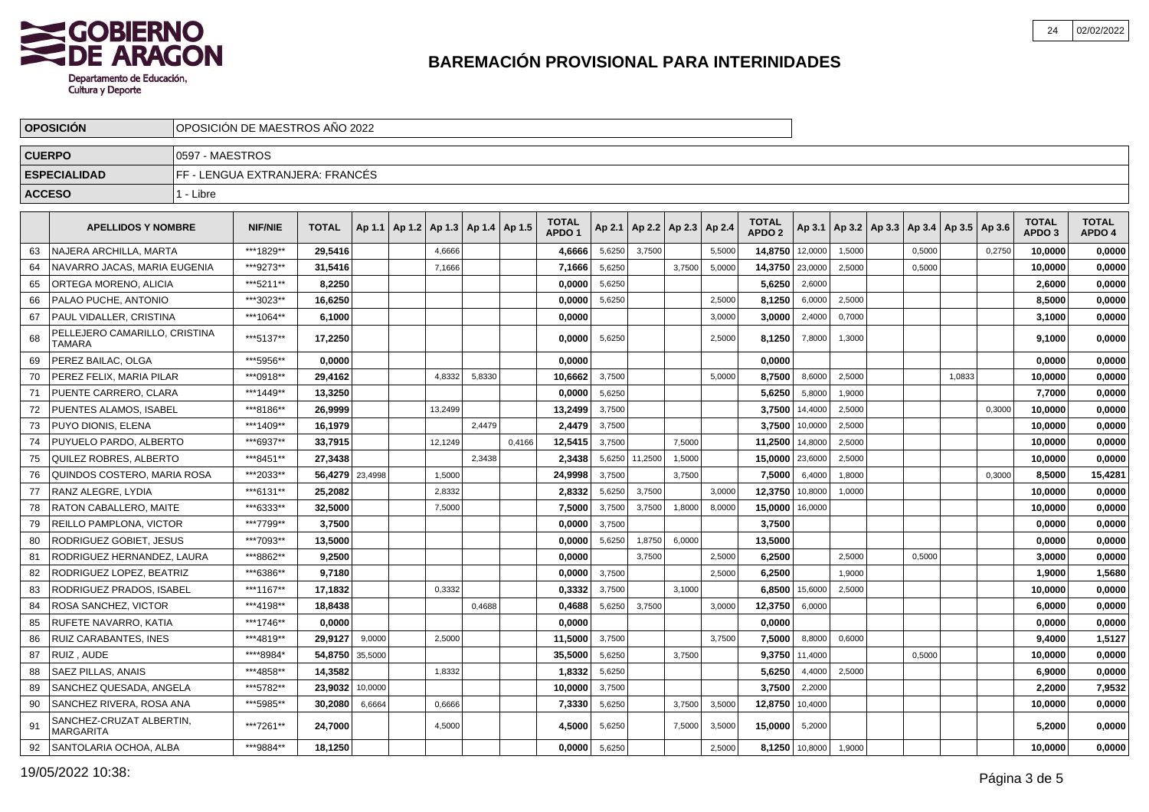

|               | <b>OPOSICION</b>                             |                 | OPOSICION DE MAESTROS ANO 2022  |              |         |        |         |                          |        |                                   |        |         |                          |        |                                   |         |        |        |                                            |        |                                   |                        |
|---------------|----------------------------------------------|-----------------|---------------------------------|--------------|---------|--------|---------|--------------------------|--------|-----------------------------------|--------|---------|--------------------------|--------|-----------------------------------|---------|--------|--------|--------------------------------------------|--------|-----------------------------------|------------------------|
| <b>CUERPO</b> |                                              | 0597 - MAESTROS |                                 |              |         |        |         |                          |        |                                   |        |         |                          |        |                                   |         |        |        |                                            |        |                                   |                        |
|               | <b>ESPECIALIDAD</b>                          |                 | FF - LENGUA EXTRANJERA: FRANCÉS |              |         |        |         |                          |        |                                   |        |         |                          |        |                                   |         |        |        |                                            |        |                                   |                        |
| <b>ACCESO</b> |                                              | 1 - Libre       |                                 |              |         |        |         |                          |        |                                   |        |         |                          |        |                                   |         |        |        |                                            |        |                                   |                        |
|               |                                              |                 |                                 |              |         |        |         |                          |        |                                   |        |         |                          |        |                                   |         |        |        |                                            |        |                                   |                        |
|               | <b>APELLIDOS Y NOMBRE</b>                    |                 | <b>NIF/NIE</b>                  | <b>TOTAL</b> | Ap 1.1  | Ap 1.2 |         | Ap 1.3   Ap 1.4   Ap 1.5 |        | <b>TOTAL</b><br>APDO <sub>1</sub> | Ap 2.1 |         | Ap 2.2   Ap 2.3   Ap 2.4 |        | <b>TOTAL</b><br>APDO <sub>2</sub> | Ap 3.1  |        |        | Ap 3.2   Ap 3.3   Ap 3.4   Ap 3.5   Ap 3.6 |        | <b>TOTAL</b><br>APDO <sub>3</sub> | <b>TOTAL</b><br>APDO 4 |
| 63            | NAJERA ARCHILLA, MARTA                       |                 | ***1829**                       | 29,5416      |         |        | 4,6666  |                          |        | 4,6666                            | 5,6250 | 3.7500  |                          | 5.5000 | 14,8750                           | 12.0000 | 1.5000 | 0.5000 |                                            | 0.2750 | 10,0000                           | 0,0000                 |
| 64            | NAVARRO JACAS, MARIA EUGENIA                 |                 | ***9273**                       | 31,5416      |         |        | 7,1666  |                          |        | 7,1666                            | 5,6250 |         | 3,7500                   | 5,0000 | 14,3750                           | 23,0000 | 2,5000 | 0,5000 |                                            |        | 10,0000                           | 0,0000                 |
| 65            | ORTEGA MORENO, ALICIA                        |                 | ***5211**                       | 8,2250       |         |        |         |                          |        | 0,0000                            | 5,6250 |         |                          |        | 5,6250                            | 2,6000  |        |        |                                            |        | 2,6000                            | 0,0000                 |
| 66            | PALAO PUCHE, ANTONIO                         |                 | ***3023**                       | 16,6250      |         |        |         |                          |        | 0,0000                            | 5,6250 |         |                          | 2,5000 | 8,1250                            | 6,0000  | 2,5000 |        |                                            |        | 8,5000                            | 0,0000                 |
| 67            | PAUL VIDALLER, CRISTINA                      |                 | ***1064**                       | 6,1000       |         |        |         |                          |        | 0,0000                            |        |         |                          | 3,0000 | 3,0000                            | 2,4000  | 0,7000 |        |                                            |        | 3,1000                            | 0,0000                 |
| 68            | PELLEJERO CAMARILLO, CRISTINA<br>TAMARA      |                 | ***5137**                       | 17,2250      |         |        |         |                          |        | 0,0000                            | 5,6250 |         |                          | 2,5000 | 8,1250                            | 7,8000  | 1,3000 |        |                                            |        | 9.1000                            | 0,0000                 |
| 69            | PEREZ BAILAC, OLGA                           |                 | ***5956**                       | 0,0000       |         |        |         |                          |        | 0,0000                            |        |         |                          |        | 0,0000                            |         |        |        |                                            |        | 0,0000                            | 0,0000                 |
| 70            | PEREZ FELIX, MARIA PILAR                     |                 | ***0918**                       | 29,4162      |         |        | 4,8332  | 5,8330                   |        | 10,6662                           | 3,7500 |         |                          | 5,0000 | 8,7500                            | 8,6000  | 2,5000 |        | 1,0833                                     |        | 10,0000                           | 0,0000                 |
| 71            | PUENTE CARRERO. CLARA                        |                 | ***1449**                       | 13,3250      |         |        |         |                          |        | 0.0000                            | 5,6250 |         |                          |        | 5,6250                            | 5,8000  | 1,9000 |        |                                            |        | 7,7000                            | 0,0000                 |
| 72            | PUENTES ALAMOS, ISABEL                       |                 | ***8186**                       | 26.9999      |         |        | 13,2499 |                          |        | 13,2499                           | 3,7500 |         |                          |        | 3,7500                            | 14,4000 | 2,5000 |        |                                            | 0,3000 | 10,0000                           | 0,0000                 |
| 73            | PUYO DIONIS. ELENA                           |                 | ***1409**                       | 16,1979      |         |        |         | 2.4479                   |        | 2,4479                            | 3,7500 |         |                          |        | 3,7500                            | 10,0000 | 2,5000 |        |                                            |        | 10.0000                           | 0,0000                 |
| 74            | PUYUELO PARDO, ALBERTO                       |                 | ***6937**                       | 33,7915      |         |        | 12.1249 |                          | 0.4166 | 12,5415                           | 3,7500 |         | 7.5000                   |        | 11,2500                           | 14,8000 | 2,5000 |        |                                            |        | 10.0000                           | 0,0000                 |
| 75            | <b>QUILEZ ROBRES, ALBERTO</b>                |                 | ***8451**                       | 27,3438      |         |        |         | 2,3438                   |        | 2,3438                            | 5,6250 | 11,2500 | 1,5000                   |        | 15,0000                           | 23,6000 | 2,5000 |        |                                            |        | 10,0000                           | 0,0000                 |
| 76            | QUINDOS COSTERO, MARIA ROSA                  |                 | ***2033**                       | 56,4279      | 23,4998 |        | 1,5000  |                          |        | 24,9998                           | 3,7500 |         | 3,7500                   |        | 7,5000                            | 6,4000  | 1,8000 |        |                                            | 0,3000 | 8,5000                            | 15,4281                |
| 77            | RANZ ALEGRE, LYDIA                           |                 | ***6131**                       | 25,2082      |         |        | 2,8332  |                          |        | 2,8332                            | 5,6250 | 3,7500  |                          | 3,0000 | 12,3750                           | 10,8000 | 1,0000 |        |                                            |        | 10,0000                           | 0,0000                 |
| 78            | RATON CABALLERO, MAITE                       |                 | ***6333**                       | 32,5000      |         |        | 7,5000  |                          |        | 7,5000                            | 3,7500 | 3,7500  | 1,8000                   | 8,0000 | 15,0000                           | 16,0000 |        |        |                                            |        | 10,0000                           | 0,0000                 |
| 79            | REILLO PAMPLONA, VICTOR                      |                 | ***7799**                       | 3,7500       |         |        |         |                          |        | 0,0000                            | 3,7500 |         |                          |        | 3,7500                            |         |        |        |                                            |        | 0,0000                            | 0,0000                 |
| 80            | RODRIGUEZ GOBIET, JESUS                      |                 | ***7093**                       | 13,5000      |         |        |         |                          |        | 0,0000                            | 5,6250 | 1,8750  | 6,0000                   |        | 13,5000                           |         |        |        |                                            |        | 0,0000                            | 0,0000                 |
| 81            | RODRIGUEZ HERNANDEZ, LAURA                   |                 | ***8862**                       | 9,2500       |         |        |         |                          |        | 0,0000                            |        | 3.7500  |                          | 2.5000 | 6,2500                            |         | 2.5000 | 0.5000 |                                            |        | 3,0000                            | 0,0000                 |
| 82            | RODRIGUEZ LOPEZ, BEATRIZ                     |                 | ***6386**                       | 9.7180       |         |        |         |                          |        | 0.0000                            | 3,7500 |         |                          | 2,5000 | 6.2500                            |         | 1,9000 |        |                                            |        | 1,9000                            | 1,5680                 |
| 83            | <b>RODRIGUEZ PRADOS, ISABEL</b>              |                 | ***1167**                       | 17,1832      |         |        | 0.3332  |                          |        | 0.3332                            | 3,7500 |         | 3,1000                   |        | 6.8500                            | 15,6000 | 2,5000 |        |                                            |        | 10,0000                           | 0,0000                 |
| 84            | <b>ROSA SANCHEZ, VICTOR</b>                  |                 | ***4198**                       | 18,8438      |         |        |         | 0.4688                   |        | 0,4688                            | 5,6250 | 3,7500  |                          | 3.0000 | 12,3750                           | 6,0000  |        |        |                                            |        | 6,0000                            | 0,0000                 |
| 85            | RUFETE NAVARRO, KATIA                        |                 | ***1746**                       | 0,0000       |         |        |         |                          |        | 0,0000                            |        |         |                          |        | 0,0000                            |         |        |        |                                            |        | 0,0000                            | 0,0000                 |
| 86            | <b>RUIZ CARABANTES, INES</b>                 |                 | ***4819**                       | 29,9127      | 9,0000  |        | 2,5000  |                          |        | 11,5000                           | 3,7500 |         |                          | 3,7500 | 7,5000                            | 8,8000  | 0,6000 |        |                                            |        | 9,4000                            | 1,5127                 |
| 87            | RUIZ, AUDE                                   |                 | *****8984*                      | 54,8750      | 35,5000 |        |         |                          |        | 35,5000                           | 5,6250 |         | 3,7500                   |        | 9,3750                            | 11,4000 |        | 0,5000 |                                            |        | 10,0000                           | 0,0000                 |
| 88            | <b>SAEZ PILLAS, ANAIS</b>                    |                 | ***4858**                       | 14,3582      |         |        | 1,8332  |                          |        | 1,8332                            | 5,6250 |         |                          |        | 5,6250                            | 4,4000  | 2,5000 |        |                                            |        | 6,9000                            | 0,0000                 |
| 89            | SANCHEZ QUESADA, ANGELA                      |                 | ***5782**                       | 23,9032      | 10,0000 |        |         |                          |        | 10,0000                           | 3,7500 |         |                          |        | 3,7500                            | 2,2000  |        |        |                                            |        | 2,2000                            | 7,9532                 |
| 90            | SANCHEZ RIVERA, ROSA ANA                     |                 | ***5985**                       | 30,2080      | 6,6664  |        | 0,6666  |                          |        | 7,3330                            | 5,6250 |         | 3,7500                   | 3,5000 | 12,8750                           | 10,4000 |        |        |                                            |        | 10.0000                           | 0,0000                 |
| 91            | SANCHEZ-CRUZAT ALBERTIN,<br><b>MARGARITA</b> |                 | ***7261**                       | 24,7000      |         |        | 4,5000  |                          |        | 4,5000                            | 5,6250 |         | 7,5000                   | 3,5000 | 15,0000                           | 5,2000  |        |        |                                            |        | 5,2000                            | 0,0000                 |
| 92            | SANTOLARIA OCHOA, ALBA                       |                 | ***9884**                       | 18,1250      |         |        |         |                          |        | 0.0000                            | 5,6250 |         |                          | 2,5000 | 8,1250                            | 10,8000 | 1,9000 |        |                                            |        | 10.0000                           | 0,0000                 |

19/05/2022 10:38: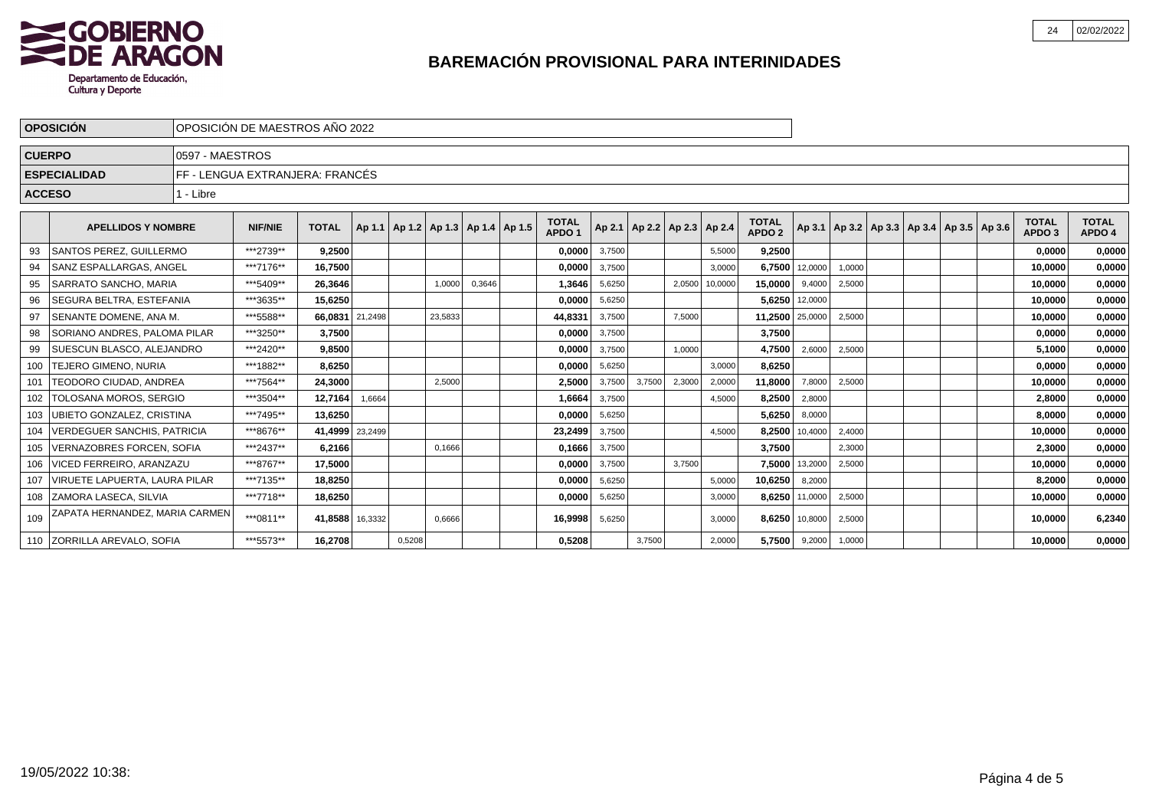

|               | <b>OPOSICIÓN</b>                      |                 | OPOSICIÓN DE MAESTROS AÑO 2022  |                 |         |                                            |         |        |                                   |        |        |                                   |         |                                   |                |                                                     |  |  |                                   |                        |
|---------------|---------------------------------------|-----------------|---------------------------------|-----------------|---------|--------------------------------------------|---------|--------|-----------------------------------|--------|--------|-----------------------------------|---------|-----------------------------------|----------------|-----------------------------------------------------|--|--|-----------------------------------|------------------------|
| <b>CUERPO</b> |                                       | 0597 - MAESTROS |                                 |                 |         |                                            |         |        |                                   |        |        |                                   |         |                                   |                |                                                     |  |  |                                   |                        |
|               | <b>ESPECIALIDAD</b>                   |                 | FF - LENGUA EXTRANJERA: FRANCÉS |                 |         |                                            |         |        |                                   |        |        |                                   |         |                                   |                |                                                     |  |  |                                   |                        |
| <b>ACCESO</b> |                                       | 1 - Libre       |                                 |                 |         |                                            |         |        |                                   |        |        |                                   |         |                                   |                |                                                     |  |  |                                   |                        |
|               | <b>APELLIDOS Y NOMBRE</b>             |                 | <b>NIF/NIE</b>                  | <b>TOTAL</b>    |         | Ap 1.1   Ap 1.2   Ap 1.3   Ap 1.4   Ap 1.5 |         |        | <b>TOTAL</b><br>APDO <sub>1</sub> |        |        | Ap 2.1   Ap 2.2   Ap 2.3   Ap 2.4 |         | <b>TOTAL</b><br>APDO <sub>2</sub> |                | Ap 3.1   Ap 3.2   Ap 3.3   Ap 3.4   Ap 3.5   Ap 3.6 |  |  | <b>TOTAL</b><br>APDO <sub>3</sub> | <b>TOTAL</b><br>APDO 4 |
|               | <b>SANTOS PEREZ. GUILLERMO</b>        |                 | ***2739**                       | 9,2500          |         |                                            |         |        | 0,0000                            | 3,7500 |        |                                   | 5,5000  | 9,2500                            |                |                                                     |  |  | 0,0000                            | 0,0000                 |
|               | lSANZ ESPALLARGAS. ANGEL              |                 | ***7176**                       | 16,7500         |         |                                            |         |        | 0,0000                            | 3,7500 |        |                                   | 3.0000  | 6,7500                            | 12,0000        | 1,0000                                              |  |  | 10.0000                           | 0,0000                 |
| 95            | <b>SARRATO SANCHO, MARIA</b>          |                 | ***5409**                       | 26,3646         |         |                                            | 1,0000  | 0,3646 | 1,3646                            | 5,6250 |        | 2,0500                            | 10,0000 | 15,0000                           | 9,4000         | 2,5000                                              |  |  | 10,0000                           | 0,0000                 |
|               | l SEGURA BELTRA. ESTEFANIA            |                 | ***3635**                       | 15,6250         |         |                                            |         |        | 0,0000                            | 5,6250 |        |                                   |         |                                   | 5,6250 12,0000 |                                                     |  |  | 10,0000                           | 0,0000                 |
| 97            | <b>SENANTE DOMENE. ANA M.</b>         |                 | ***5588**                       | 66.0831         | 21,2498 |                                            | 23,5833 |        | 44.8331                           | 3,7500 |        | 7,5000                            |         | 11.2500 25,0000                   |                | 2,5000                                              |  |  | 10.0000                           | 0,0000                 |
| 98            | SORIANO ANDRES, PALOMA PILAR          |                 | ***3250**                       | 3,7500          |         |                                            |         |        | 0,0000                            | 3,7500 |        |                                   |         | 3,7500                            |                |                                                     |  |  | 0,0000                            | 0,0000                 |
|               | <b>SUESCUN BLASCO, ALEJANDRO</b>      |                 | ***2420**                       | 9,8500          |         |                                            |         |        | 0,0000                            | 3,7500 |        | 1,0000                            |         | 4,7500                            | 2,6000         | 2,5000                                              |  |  | 5.1000                            | 0,0000                 |
| 100           | <b>TEJERO GIMENO, NURIA</b>           |                 | ***1882**                       | 8,6250          |         |                                            |         |        | 0,0000                            | 5,6250 |        |                                   | 3,0000  | 8,6250                            |                |                                                     |  |  | 0,0000                            | 0,0000                 |
| 101           | <b>TEODORO CIUDAD. ANDREA</b>         |                 | ***7564**                       | 24,3000         |         |                                            | 2,5000  |        | 2,5000                            | 3,7500 | 3,7500 | 2,3000                            | 2,0000  | 11,8000                           | 7,8000         | 2,5000                                              |  |  | 10.0000                           | 0,0000                 |
| 102           | <b>TOLOSANA MOROS, SERGIO</b>         |                 | ***3504**                       | 12,7164         | 1,6664  |                                            |         |        | 1.6664                            | 3,7500 |        |                                   | 4,5000  | 8,2500                            | 2,8000         |                                                     |  |  | 2.8000                            | 0,0000                 |
|               | <b>UBIETO GONZALEZ, CRISTINA</b>      |                 | ***7495**                       | 13,6250         |         |                                            |         |        | 0,0000                            | 5,6250 |        |                                   |         | 5,6250                            | 8,0000         |                                                     |  |  | 8,0000                            | 0,0000                 |
|               | VERDEGUER SANCHIS, PATRICIA           |                 | ***8676**                       | 41,4999 23,2499 |         |                                            |         |        | 23,2499                           | 3,7500 |        |                                   | 4,5000  | 8,2500                            | 10,4000        | 2,4000                                              |  |  | 10.0000                           | 0,0000                 |
| 105           | VERNAZOBRES FORCEN, SOFIA             |                 | ***2437**                       | 6,2166          |         |                                            | 0,1666  |        | 0,1666                            | 3,7500 |        |                                   |         | 3,7500                            |                | 2,3000                                              |  |  | 2,3000                            | 0,0000                 |
| 106           | VICED FERREIRO, ARANZAZU              |                 | ***8767**                       | 17,5000         |         |                                            |         |        | 0,0000                            | 3,7500 |        | 3,7500                            |         | 7,5000                            | 13,2000        | 2,5000                                              |  |  | 10,0000                           | 0,0000                 |
| 107           | VIRUETE LAPUERTA. LAURA PILAR         |                 | ***7135**                       | 18,8250         |         |                                            |         |        | 0,0000                            | 5,6250 |        |                                   | 5,0000  | 10.6250                           | 8,2000         |                                                     |  |  | 8.2000                            | 0,0000                 |
|               | 108 ZAMORA LASECA, SILVIA             |                 | ***7718**                       | 18,6250         |         |                                            |         |        | 0,0000                            | 5,6250 |        |                                   | 3,0000  | 8,6250                            | 11,0000        | 2,5000                                              |  |  | 10,0000                           | 0,0000                 |
| 109           | <b>ZAPATA HERNANDEZ, MARIA CARMEN</b> |                 | ***0811**                       | 41.8588 16,3332 |         |                                            | 0,6666  |        | 16,9998                           | 5,6250 |        |                                   | 3,0000  |                                   | 8,6250 10,8000 | 2,5000                                              |  |  | 10.0000                           | 6,2340                 |
|               | 110 ZORRILLA AREVALO, SOFIA           |                 | ***5573**                       | 16,2708         |         | 0,5208                                     |         |        | 0,5208                            |        | 3,7500 |                                   | 2,0000  | 5,7500                            | 9,2000         | 1,0000                                              |  |  | 10,0000                           | 0,0000                 |